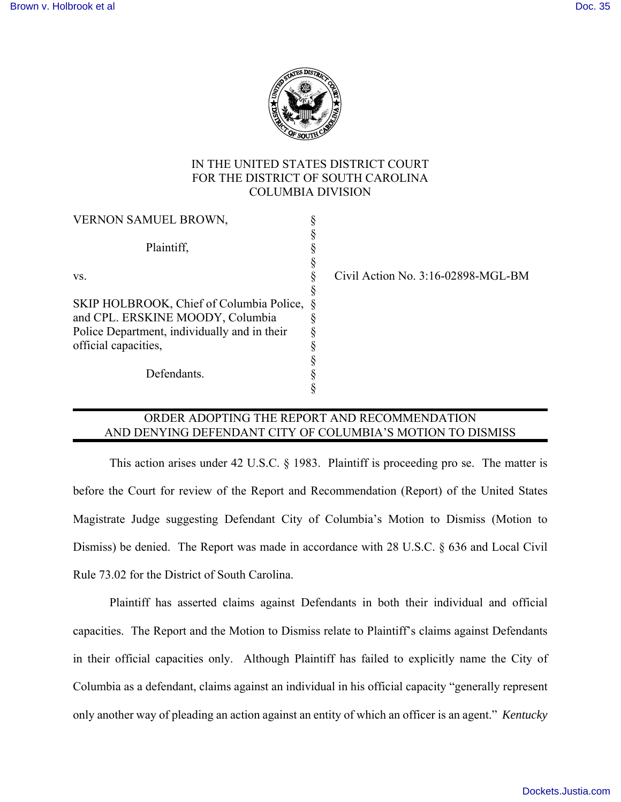

### IN THE UNITED STATES DISTRICT COURT FOR THE DISTRICT OF SOUTH CAROLINA COLUMBIA DIVISION

| Civil Action No. $3:16-02898-MGL-BM$       |
|--------------------------------------------|
|                                            |
| SKIP HOLBROOK, Chief of Columbia Police, § |
|                                            |
|                                            |
|                                            |
|                                            |
|                                            |
|                                            |
|                                            |

## ORDER ADOPTING THE REPORT AND RECOMMENDATION AND DENYING DEFENDANT CITY OF COLUMBIA'S MOTION TO DISMISS

 This action arises under 42 U.S.C. § 1983. Plaintiff is proceeding pro se. The matter is before the Court for review of the Report and Recommendation (Report) of the United States Magistrate Judge suggesting Defendant City of Columbia's Motion to Dismiss (Motion to Dismiss) be denied. The Report was made in accordance with 28 U.S.C. § 636 and Local Civil Rule 73.02 for the District of South Carolina.

Plaintiff has asserted claims against Defendants in both their individual and official capacities. The Report and the Motion to Dismiss relate to Plaintiff's claims against Defendants in their official capacities only. Although Plaintiff has failed to explicitly name the City of Columbia as a defendant, claims against an individual in his official capacity "generally represent only another way of pleading an action against an entity of which an officer is an agent." *Kentucky*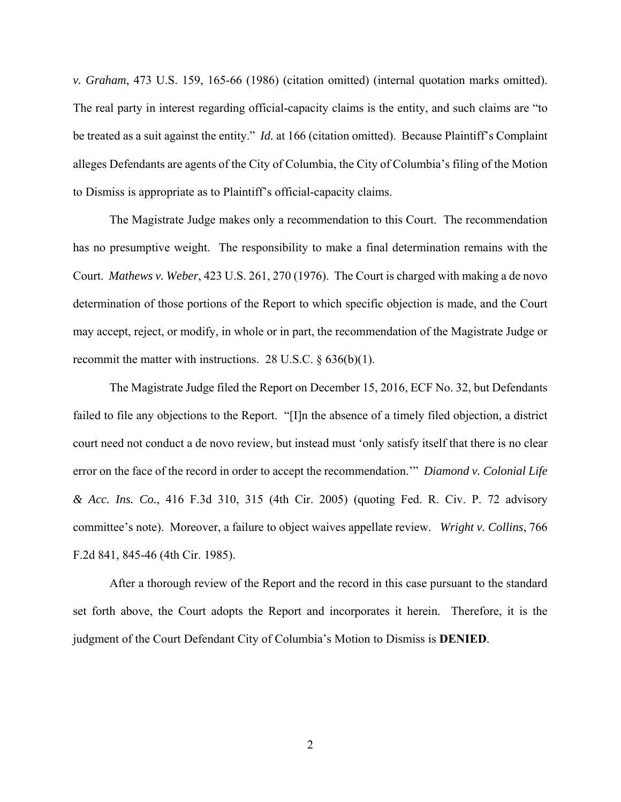*v. Graham*, 473 U.S. 159, 165-66 (1986) (citation omitted) (internal quotation marks omitted). The real party in interest regarding official-capacity claims is the entity, and such claims are "to be treated as a suit against the entity." *Id.* at 166 (citation omitted). Because Plaintiff's Complaint alleges Defendants are agents of the City of Columbia, the City of Columbia's filing of the Motion to Dismiss is appropriate as to Plaintiff's official-capacity claims.

The Magistrate Judge makes only a recommendation to this Court. The recommendation has no presumptive weight. The responsibility to make a final determination remains with the Court. *Mathews v. Weber*, 423 U.S. 261, 270 (1976). The Court is charged with making a de novo determination of those portions of the Report to which specific objection is made, and the Court may accept, reject, or modify, in whole or in part, the recommendation of the Magistrate Judge or recommit the matter with instructions. 28 U.S.C. § 636(b)(1).

The Magistrate Judge filed the Report on December 15, 2016, ECF No. 32, but Defendants failed to file any objections to the Report. "[I]n the absence of a timely filed objection, a district court need not conduct a de novo review, but instead must 'only satisfy itself that there is no clear error on the face of the record in order to accept the recommendation.'" *Diamond v. Colonial Life & Acc. Ins. Co.*, 416 F.3d 310, 315 (4th Cir. 2005) (quoting Fed. R. Civ. P. 72 advisory committee's note). Moreover, a failure to object waives appellate review. *Wright v. Collins*, 766 F.2d 841, 845-46 (4th Cir. 1985).

After a thorough review of the Report and the record in this case pursuant to the standard set forth above, the Court adopts the Report and incorporates it herein. Therefore, it is the judgment of the Court Defendant City of Columbia's Motion to Dismiss is **DENIED**.